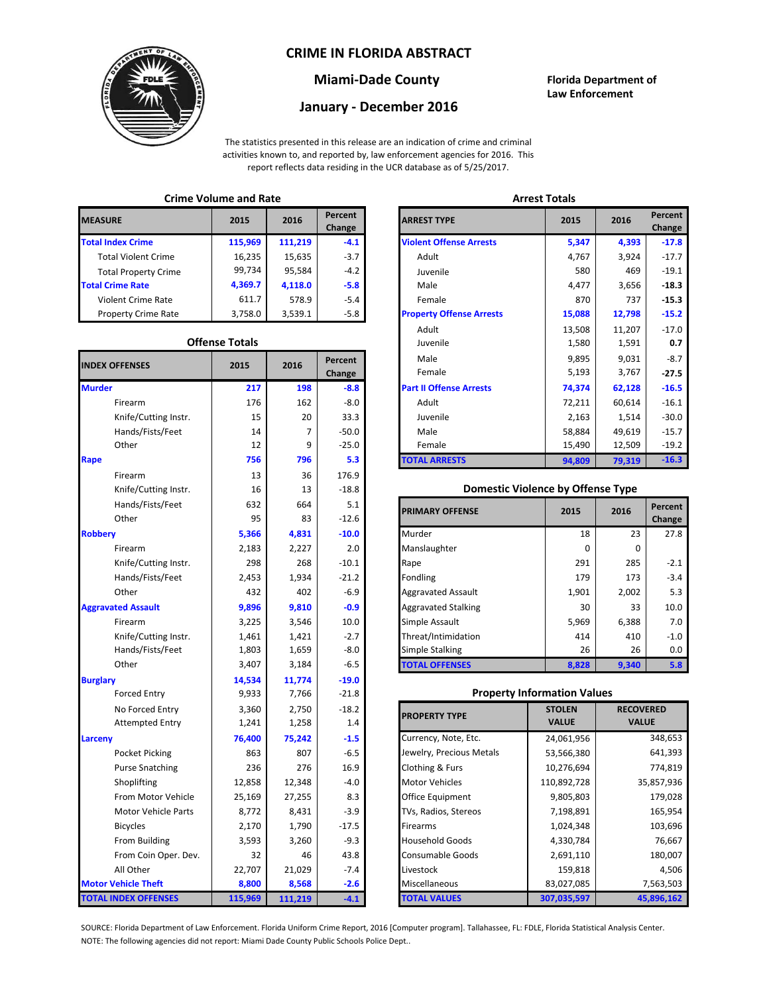## **CRIME IN FLORIDA ABSTRACT**



# **Miami-Dade County Florida Department of**

### **Law Enforcement January - December 2016**

The statistics presented in this release are an indication of crime and criminal activities known to, and reported by, law enforcement agencies for 2016. This report reflects data residing in the UCR database as of 5/25/2017.

## **Crime Volume and Rate Arrest Totals**

| <b>MEASURE</b>              | 2015    | 2016    | Percent<br>Change | <b>ARREST TYPE</b>             |
|-----------------------------|---------|---------|-------------------|--------------------------------|
| <b>Total Index Crime</b>    | 115,969 | 111,219 | $-4.1$            | <b>Violent Offense Arrests</b> |
| <b>Total Violent Crime</b>  | 16,235  | 15,635  | $-3.7$            | Adult                          |
| <b>Total Property Crime</b> | 99,734  | 95.584  | $-4.2$            | Juvenile                       |
| <b>Total Crime Rate</b>     | 4,369.7 | 4,118.0 | $-5.8$            | Male                           |
| <b>Violent Crime Rate</b>   | 611.7   | 578.9   | $-5.4$            | Female                         |
| <b>Property Crime Rate</b>  | 3,758.0 | 3,539.1 | $-5.8$            | <b>Property Offense Arrest</b> |

### **Offense Totals**

| <b>INDEX OFFENSES</b>       | 2015    | 2016    | Percent<br>Change | Male<br>Female                           | 9,031<br>9,895<br>5,193<br>3,767 |                  | $-8.7$<br>$-27.5$ |
|-----------------------------|---------|---------|-------------------|------------------------------------------|----------------------------------|------------------|-------------------|
| <b>Murder</b>               | 217     | 198     | $-8.8$            | <b>Part II Offense Arrests</b>           | 74,374                           | 62,128           | $-16.5$           |
| Firearm                     | 176     | 162     | $-8.0$            | Adult                                    | 72,211                           | 60,614           | $-16.1$           |
| Knife/Cutting Instr.        | 15      | 20      | 33.3              | Juvenile                                 | 2,163                            | 1,514            | $-30.0$           |
| Hands/Fists/Feet            | 14      | 7       | $-50.0$           | Male                                     | 58,884                           | 49,619           | $-15.7$           |
| Other                       | 12      | 9       | $-25.0$           | Female                                   | 15,490                           | 12,509           | $-19.2$           |
| Rape                        | 756     | 796     | 5.3               | <b>TOTAL ARRESTS</b>                     | 94,809                           | 79,319           | $-16.3$           |
| Firearm                     | 13      | 36      | 176.9             |                                          |                                  |                  |                   |
| Knife/Cutting Instr.        | 16      | 13      | $-18.8$           | <b>Domestic Violence by Offense Type</b> |                                  |                  |                   |
| Hands/Fists/Feet            | 632     | 664     | 5.1               |                                          | 2015                             | 2016             | Percent           |
| Other                       | 95      | 83      | $-12.6$           | <b>PRIMARY OFFENSE</b>                   |                                  |                  | Change            |
| <b>Robbery</b>              | 5,366   | 4,831   | $-10.0$           | Murder                                   | 18                               | 23               | 27.8              |
| Firearm                     | 2,183   | 2,227   | 2.0               | Manslaughter                             | 0                                | $\mathbf{0}$     |                   |
| Knife/Cutting Instr.        | 298     | 268     | $-10.1$           | Rape                                     | 291                              | 285              | $-2.1$            |
| Hands/Fists/Feet            | 2,453   | 1,934   | $-21.2$           | Fondling                                 | 179                              | 173              | $-3.4$            |
| Other                       | 432     | 402     | $-6.9$            | <b>Aggravated Assault</b>                | 1,901                            | 2,002            | 5.3               |
| <b>Aggravated Assault</b>   | 9,896   | 9,810   | $-0.9$            | <b>Aggravated Stalking</b>               | 30                               | 33               | 10.0              |
| Firearm                     | 3,225   | 3,546   | 10.0              | Simple Assault                           | 5,969                            | 6,388            | 7.0               |
| Knife/Cutting Instr.        | 1,461   | 1,421   | $-2.7$            | Threat/Intimidation                      | 414                              | 410              | $-1.0$            |
| Hands/Fists/Feet            | 1,803   | 1,659   | $-8.0$            | <b>Simple Stalking</b>                   | 26                               | 26               | 0.0               |
| Other                       | 3,407   | 3,184   | $-6.5$            | <b>TOTAL OFFENSES</b>                    | 8,828                            | 9,340            | 5.8               |
| <b>Burglary</b>             | 14,534  | 11,774  | $-19.0$           |                                          |                                  |                  |                   |
| <b>Forced Entry</b>         | 9,933   | 7,766   | $-21.8$           | <b>Property Information Values</b>       |                                  |                  |                   |
| No Forced Entry             | 3,360   | 2,750   | $-18.2$           | <b>PROPERTY TYPE</b>                     | <b>STOLEN</b>                    | <b>RECOVERED</b> |                   |
| <b>Attempted Entry</b>      | 1,241   | 1,258   | 1.4               |                                          | <b>VALUE</b>                     | <b>VALUE</b>     |                   |
| Larceny                     | 76,400  | 75,242  | $-1.5$            | Currency, Note, Etc.                     | 24,061,956                       |                  | 348,653           |
| Pocket Picking              | 863     | 807     | $-6.5$            | Jewelry, Precious Metals                 | 53,566,380                       |                  | 641,393           |
| <b>Purse Snatching</b>      | 236     | 276     | 16.9              | Clothing & Furs                          | 10,276,694                       |                  | 774,819           |
| Shoplifting                 | 12,858  | 12,348  | $-4.0$            | <b>Motor Vehicles</b>                    | 110,892,728                      |                  | 35,857,936        |
| From Motor Vehicle          | 25,169  | 27,255  | 8.3               | Office Equipment                         | 9,805,803                        |                  | 179,028           |
| Motor Vehicle Parts         | 8,772   | 8,431   | $-3.9$            | TVs, Radios, Stereos                     | 7,198,891                        |                  | 165,954           |
| <b>Bicycles</b>             | 2,170   | 1,790   | $-17.5$           | Firearms                                 | 1,024,348                        |                  | 103,696           |
| From Building               | 3,593   | 3,260   | $-9.3$            | <b>Household Goods</b>                   | 4,330,784                        |                  | 76,667            |
| From Coin Oper. Dev.        | 32      | 46      | 43.8              | Consumable Goods                         | 2,691,110                        |                  | 180,007           |
| All Other                   | 22,707  | 21,029  | $-7.4$            | Livestock                                | 159,818                          |                  | 4,506             |
| <b>Motor Vehicle Theft</b>  | 8,800   | 8,568   | $-2.6$            | Miscellaneous                            | 83,027,085                       |                  | 7,563,503         |
| <b>TOTAL INDEX OFFENSES</b> | 115,969 | 111,219 | $-4.1$            | <b>TOTAL VALUES</b>                      | 307,035,597                      |                  | 45,896,162        |

| CHILLE VULUILE ANU RALE |                       |         | лнсэг готагэ      |                                 |        |        |                   |
|-------------------------|-----------------------|---------|-------------------|---------------------------------|--------|--------|-------------------|
| RΕ                      | 2015                  | 2016    | Percent<br>Change | <b>ARREST TYPE</b>              | 2015   | 2016   | Percent<br>Change |
| dex Crime               | 115,969               | 111,219 | $-4.1$            | <b>Violent Offense Arrests</b>  | 5,347  | 4,393  | $-17.8$           |
| ıl Violent Crime        | 16,235                | 15,635  | $-3.7$            | Adult                           | 4,767  | 3,924  | $-17.7$           |
| Il Property Crime       | 99,734                | 95,584  | $-4.2$            | Juvenile                        | 580    | 469    | $-19.1$           |
| me Rate                 | 4,369.7               | 4,118.0 | $-5.8$            | Male                            | 4,477  | 3,656  | $-18.3$           |
| ent Crime Rate          | 611.7                 | 578.9   | $-5.4$            | Female                          | 870    | 737    | $-15.3$           |
| erty Crime Rate         | 3,758.0               | 3,539.1 | $-5.8$            | <b>Property Offense Arrests</b> | 15,088 | 12,798 | $-15.2$           |
|                         |                       |         |                   | Adult                           | 13,508 | 11,207 | $-17.0$           |
|                         | <b>Offense Totals</b> |         |                   | Juvenile                        | 1,580  | 1,591  | 0.7               |
| <b>FFENSES</b>          | 2015                  | 2016    | Percent           | Male                            | 9,895  | 9,031  | $-8.7$            |
|                         |                       |         | Change            | Female                          | 5,193  | 3,767  | $-27.5$           |
|                         | 217                   | 198     | $-8.8$            | <b>Part II Offense Arrests</b>  | 74,374 | 62,128 | $-16.5$           |
| Firearm                 | 176                   | 162     | $-8.0$            | Adult                           | 72,211 | 60,614 | $-16.1$           |
| Knife/Cutting Instr.    | 15                    | 20      | 33.3              | Juvenile                        | 2,163  | 1,514  | $-30.0$           |
| Hands/Fists/Feet        | 14                    | 7       | $-50.0$           | Male                            | 58,884 | 49,619 | $-15.7$           |
| Other                   | 12                    | 9       | $-25.0$           | Female                          | 15,490 | 12,509 | $-19.2$           |
|                         | 756                   | 796     | 5.3               | <b>TOTAL ARRESTS</b>            | 94,809 | 79,319 | $-16.3$           |
|                         |                       |         |                   |                                 |        |        |                   |

#### **Domestic Violence by Offense Type**

| Hands/Fists/Feet<br>Other | 632<br>95 | 664<br>83 | 5.1<br>$-12.6$ | <b>PRIMARY OFFENSE</b>     | 2015     | 2016  | Percent<br>Change |
|---------------------------|-----------|-----------|----------------|----------------------------|----------|-------|-------------------|
|                           | 5,366     | 4,831     | $-10.0$        | Murder                     | 18       | 23    | 27.8              |
| Firearm                   | 2,183     | 2,227     | 2.0            | Manslaughter               | $\Omega$ | 0     |                   |
| Knife/Cutting Instr.      | 298       | 268       | $-10.1$        | Rape                       | 291      | 285   |                   |
| Hands/Fists/Feet          | 2,453     | 1,934     | $-21.2$        | Fondling                   | 179      | 173   |                   |
| Other                     | 432       | 402       | $-6.9$         | <b>Aggravated Assault</b>  | 1,901    | 2,002 |                   |
| ted Assault               | 9,896     | 9,810     | $-0.9$         | <b>Aggravated Stalking</b> | 30       | 33    | 10.0              |
| Firearm                   | 3,225     | 3,546     | 10.0           | Simple Assault             | 5,969    | 6,388 |                   |
| Knife/Cutting Instr.      | 1,461     | 1,421     | $-2.7$         | Threat/Intimidation        | 414      | 410   |                   |
| Hands/Fists/Feet          | 1,803     | 1,659     | $-8.0$         | <b>Simple Stalking</b>     | 26       | 26    |                   |
| Other                     | 3,407     | 3,184     | $-6.5$         | <b>TOTAL OFFENSES</b>      | 8,828    | 9,340 |                   |

#### **Property Information Values**

| 3,360  | 2,750   | $-18.2$ | <b>PROPERTY TYPE</b>     | <b>STOLEN</b> | <b>RECOVERED</b> |
|--------|---------|---------|--------------------------|---------------|------------------|
| 1,241  | 1,258   | 1.4     |                          | <b>VALUE</b>  | <b>VALUE</b>     |
| 76,400 | 75,242  | $-1.5$  | Currency, Note, Etc.     | 24,061,956    | 348,653          |
| 863    | 807     | $-6.5$  | Jewelry, Precious Metals | 53,566,380    | 641,393          |
| 236    | 276     | 16.9    | Clothing & Furs          | 10,276,694    | 774,819          |
| 12,858 | 12,348  | $-4.0$  | <b>Motor Vehicles</b>    | 110,892,728   | 35,857,936       |
| 25,169 | 27,255  | 8.3     | Office Equipment         | 9,805,803     | 179,028          |
| 8,772  | 8,431   | $-3.9$  | TVs, Radios, Stereos     | 7,198,891     | 165,954          |
| 2,170  | 1,790   | $-17.5$ | <b>Firearms</b>          | 1,024,348     | 103,696          |
| 3,593  | 3,260   | $-9.3$  | <b>Household Goods</b>   | 4,330,784     | 76,667           |
| 32     | 46      | 43.8    | <b>Consumable Goods</b>  | 2,691,110     | 180,007          |
| 22,707 | 21,029  | $-7.4$  | Livestock                | 159,818       | 4,506            |
| 8,800  | 8,568   | $-2.6$  | Miscellaneous            | 83,027,085    | 7,563,503        |
| 15,969 | 111,219 | $-4.1$  | <b>TOTAL VALUES</b>      | 307,035,597   | 45,896,162       |

NOTE: The following agencies did not report: Miami Dade County Public Schools Police Dept.. SOURCE: Florida Department of Law Enforcement. Florida Uniform Crime Report, 2016 [Computer program]. Tallahassee, FL: FDLE, Florida Statistical Analysis Center.